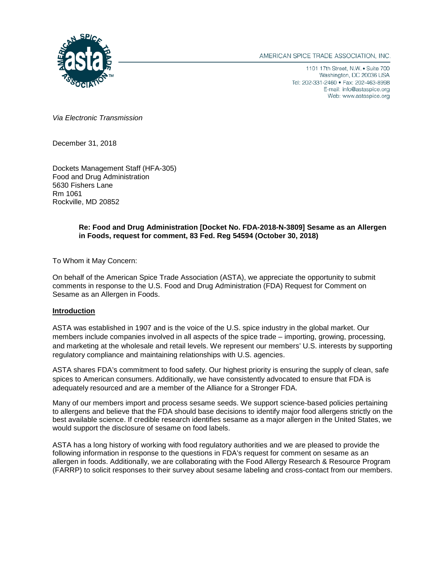

AMERICAN SPICE TRADE ASSOCIATION, INC.

1101 17th Street, N.W. . Suite 700 Washington, DC 20036 USA Tel: 202-331-2460 · Fax: 202-463-8998 E-mail: info@astaspice.org Web: www.astaspice.org

*Via Electronic Transmission*

December 31, 2018

Dockets Management Staff (HFA-305) Food and Drug Administration 5630 Fishers Lane Rm 1061 Rockville, MD 20852

# **Re: Food and Drug Administration [Docket No. FDA-2018-N-3809] Sesame as an Allergen in Foods, request for comment, 83 Fed. Reg 54594 (October 30, 2018)**

To Whom it May Concern:

On behalf of the American Spice Trade Association (ASTA), we appreciate the opportunity to submit comments in response to the U.S. Food and Drug Administration (FDA) Request for Comment on Sesame as an Allergen in Foods.

#### **Introduction**

ASTA was established in 1907 and is the voice of the U.S. spice industry in the global market. Our members include companies involved in all aspects of the spice trade – importing, growing, processing, and marketing at the wholesale and retail levels. We represent our members' U.S. interests by supporting regulatory compliance and maintaining relationships with U.S. agencies.

ASTA shares FDA's commitment to food safety. Our highest priority is ensuring the supply of clean, safe spices to American consumers. Additionally, we have consistently advocated to ensure that FDA is adequately resourced and are a member of the Alliance for a Stronger FDA.

Many of our members import and process sesame seeds. We support science-based policies pertaining to allergens and believe that the FDA should base decisions to identify major food allergens strictly on the best available science. If credible research identifies sesame as a major allergen in the United States, we would support the disclosure of sesame on food labels.

ASTA has a long history of working with food regulatory authorities and we are pleased to provide the following information in response to the questions in FDA's request for comment on sesame as an allergen in foods. Additionally, we are collaborating with the Food Allergy Research & Resource Program (FARRP) to solicit responses to their survey about sesame labeling and cross-contact from our members.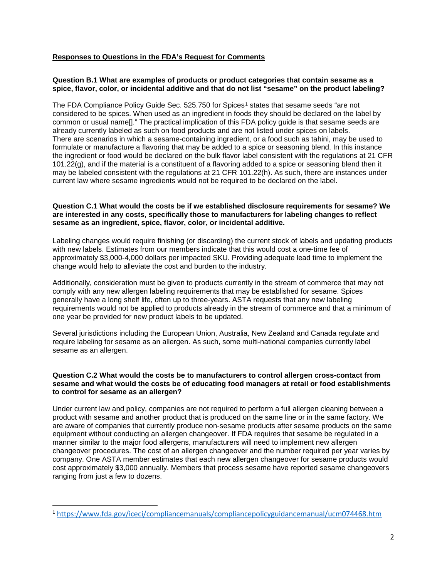# **Responses to Questions in the FDA's Request for Comments**

#### **Question B.1 What are examples of products or product categories that contain sesame as a spice, flavor, color, or incidental additive and that do not list "sesame" on the product labeling?**

The FDA Compliance Policy Guide Sec. 525.750 for Spices<sup>[1](#page-1-0)</sup> states that sesame seeds "are not considered to be spices. When used as an ingredient in foods they should be declared on the label by common or usual name[]." The practical implication of this FDA policy guide is that sesame seeds are already currently labeled as such on food products and are not listed under spices on labels. There are scenarios in which a sesame-containing ingredient, or a food such as tahini, may be used to formulate or manufacture a flavoring that may be added to a spice or seasoning blend. In this instance the ingredient or food would be declared on the bulk flavor label consistent with the regulations at 21 CFR 101.22(g), and if the material is a constituent of a flavoring added to a spice or seasoning blend then it may be labeled consistent with the regulations at 21 CFR 101.22(h). As such, there are instances under current law where sesame ingredients would not be required to be declared on the label.

#### **Question C.1 What would the costs be if we established disclosure requirements for sesame? We are interested in any costs, specifically those to manufacturers for labeling changes to reflect sesame as an ingredient, spice, flavor, color, or incidental additive.**

Labeling changes would require finishing (or discarding) the current stock of labels and updating products with new labels. Estimates from our members indicate that this would cost a one-time fee of approximately \$3,000-4,000 dollars per impacted SKU. Providing adequate lead time to implement the change would help to alleviate the cost and burden to the industry.

Additionally, consideration must be given to products currently in the stream of commerce that may not comply with any new allergen labeling requirements that may be established for sesame. Spices generally have a long shelf life, often up to three-years. ASTA requests that any new labeling requirements would not be applied to products already in the stream of commerce and that a minimum of one year be provided for new product labels to be updated.

Several jurisdictions including the European Union, Australia, New Zealand and Canada regulate and require labeling for sesame as an allergen. As such, some multi-national companies currently label sesame as an allergen.

## **Question C.2 What would the costs be to manufacturers to control allergen cross-contact from sesame and what would the costs be of educating food managers at retail or food establishments to control for sesame as an allergen?**

Under current law and policy, companies are not required to perform a full allergen cleaning between a product with sesame and another product that is produced on the same line or in the same factory. We are aware of companies that currently produce non-sesame products after sesame products on the same equipment without conducting an allergen changeover. If FDA requires that sesame be regulated in a manner similar to the major food allergens, manufacturers will need to implement new allergen changeover procedures. The cost of an allergen changeover and the number required per year varies by company. One ASTA member estimates that each new allergen changeover for sesame products would cost approximately \$3,000 annually. Members that process sesame have reported sesame changeovers ranging from just a few to dozens.

<span id="page-1-0"></span> <sup>1</sup> <https://www.fda.gov/iceci/compliancemanuals/compliancepolicyguidancemanual/ucm074468.htm>